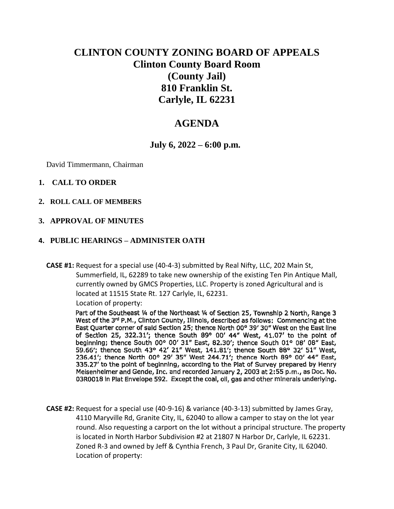# **CLINTON COUNTY ZONING BOARD OF APPEALS Clinton County Board Room (County Jail) 810 Franklin St. Carlyle, IL 62231**

## **AGENDA**

## **July 6, 2022 – 6:00 p.m.**

David Timmermann, Chairman

#### **1. CALL TO ORDER**

**2. ROLL CALL OF MEMBERS**

#### **3. APPROVAL OF MINUTES**

#### **4. PUBLIC HEARINGS – ADMINISTER OATH**

**CASE #1:** Request for a special use (40-4-3) submitted by Real Nifty, LLC, 202 Main St, Summerfield, IL, 62289 to take new ownership of the existing Ten Pin Antique Mall, currently owned by GMCS Properties, LLC. Property is zoned Agricultural and is located at 11515 State Rt. 127 Carlyle, IL, 62231. Location of property:

Part of the Southeast 1/4 of the Northeast 1/4 of Section 25, Township 2 North, Range 3 West of the 3rd P.M., Clinton County, Illinois, described as follows: Commencing at the East Quarter corner of said Section 25; thence North 00° 39' 30" West on the East line of Section 25, 322.31'; thence South 89° 00' 44" West, 41,07' to the point of beginning; thence South 00° 00' 31" East, 82.30'; thence South 01° 08' 08" East, 59.66'; thence South 43° 42' 21" West, 141.81'; thence South 88° 32' 51" West, 236.41'; thence North 00° 29' 35" West 244.71'; thence North 89° 00' 44" East, 335.27' to the point of beginning, according to the Plat of Survey prepared by Henry Meisenheimer and Gende, Inc. and recorded January 2, 2003 at 2:55 p.m., as Doc. No. 03R0018 in Plat Envelope 592. Except the coal, oil, gas and other minerals underlying.

**CASE #2:** Request for a special use (40-9-16) & variance (40-3-13) submitted by James Gray, 4110 Maryville Rd, Granite City, IL, 62040 to allow a camper to stay on the lot year round. Also requesting a carport on the lot without a principal structure. The property is located in North Harbor Subdivision #2 at 21807 N Harbor Dr, Carlyle, IL 62231. Zoned R-3 and owned by Jeff & Cynthia French, 3 Paul Dr, Granite City, IL 62040. Location of property: